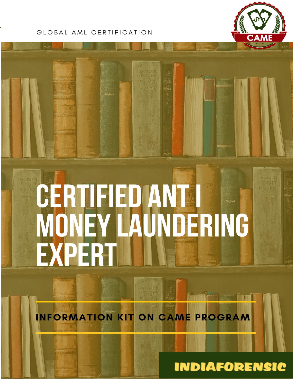## GLOBAL AML CERTIFICATION



# **CERTIFIED ANTI<br>MONEY LAUNDERING<br>EXPERT**

**INFORMATION KIT ON CAME PROGRAM** 

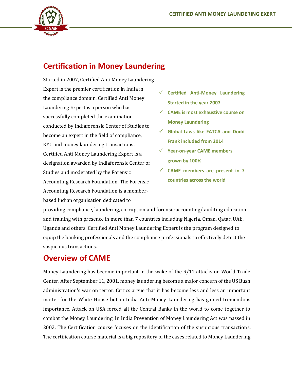

## **Certification in Money Laundering**

Started in 2007, Certified Anti Money Laundering Expert is the premier certification in India in the compliance domain. Certified Anti Money Laundering Expert is a person who has successfully completed the examination conducted by Indiaforensic Center of Studies to become an expert in the field of compliance, KYC and money laundering transactions. Certified Anti Money Laundering Expert is a designation awarded by Indiaforensic Center of Studies and moderated by the Forensic Accounting Research Foundation. The Forensic Accounting Research Foundation is a memberbased Indian organisation dedicated to

- ✓ **Certified Anti-Money Laundering Started in the year 2007**
- ✓ **CAME is most exhaustive course on Money Laundering**
- ✓ **Global Laws like FATCA and Dodd Frank included from 2014**
- ✓ **Year-on-year CAME members grown by 100%**
- ✓ **CAME members are present in 7 countries across the world**

providing compliance, laundering, corruption and forensic accounting/ auditing education and training with presence in more than 7 countries including Nigeria, Oman, Qatar, UAE, Uganda and others. Certified Anti Money Laundering Expert is the program designed to equip the banking professionals and the compliance professionals to effectively detect the suspicious transactions.

## **Overview of CAME**

Money Laundering has become important in the wake of the 9/11 attacks on World Trade Center. After September 11, 2001, money laundering become a major concern of the US Bush administration's war on terror. Critics argue that it has become less and less an important matter for the White House but in India Anti-Money Laundering has gained tremendous importance. Attack on USA forced all the Central Banks in the world to come together to combat the Money Laundering. In India Prevention of Money Laundering Act was passed in 2002. The Certification course focuses on the identification of the suspicious transactions. The certification course material is a big repository of the cases related to Money Laundering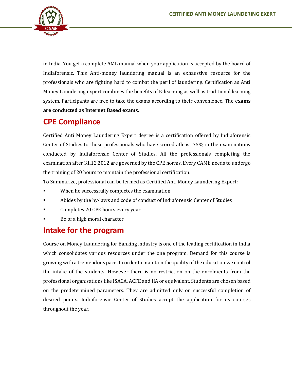

in India. You get a complete AML manual when your application is accepted by the board of Indiaforensic. This Anti-money laundering manual is an exhaustive resource for the professionals who are fighting hard to combat the peril of laundering. Certification as Anti Money Laundering expert combines the benefits of E-learning as well as traditional learning system. Participants are free to take the exams according to their convenience. The **exams are conducted as Internet Based exams.**

## **CPE Compliance**

Certified Anti Money Laundering Expert degree is a certification offered by Indiaforensic Center of Studies to those professionals who have scored atleast 75% in the examinations conducted by Indiaforensic Center of Studies. All the professionals completing the examination after 31.12.2012 are governed by the CPE norms. Every CAME needs to undergo the training of 20 hours to maintain the professional certification.

To Summarize, professional can be termed as Certified Anti Money Laundering Expert:

- When he successfully completes the examination
- Abides by the by-laws and code of conduct of Indiaforensic Center of Studies
- Completes 20 CPE hours every year
- Be of a high moral character

## **Intake for the program**

Course on Money Laundering for Banking industry is one of the leading certification in India which consolidates various resources under the one program. Demand for this course is growing with a tremendous pace. In order to maintain the quality of the education we control the intake of the students. However there is no restriction on the enrolments from the professional organisations like ISACA, ACFE and IIA or equivalent. Students are chosen based on the predetermined parameters. They are admitted only on successful completion of desired points. Indiaforensic Center of Studies accept the application for its courses throughout the year.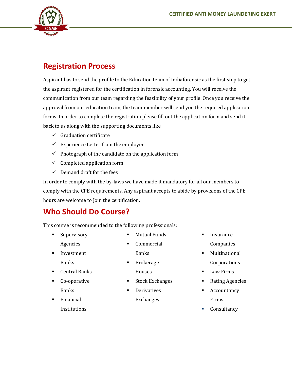

# **Registration Process**

Aspirant has to send the profile to the Education team of Indiaforensic as the first step to get the aspirant registered for the certification in forensic accounting. You will receive the communication from our team regarding the feasibility of your profile. Once you receive the approval from our education team, the team member will send you the required application forms. In order to complete the registration please fill out the application form and send it back to us along with the supporting documents like

- $\checkmark$  Graduation certificate
- $\checkmark$  Experience Letter from the employer
- $\checkmark$  Photograph of the candidate on the application form
- $\checkmark$  Completed application form
- $\checkmark$  Demand draft for the fees

In order to comply with the by-laws we have made it mandatory for all our members to comply with the CPE requirements. Any aspirant accepts to abide by provisions of the CPE hours are welcome to Join the certification.

## **Who Should Do Course?**

This course is recommended to the following professionals:

**·** Supervisory

Agencies

- **Mutual Funds**
- **Commercial** Banks
- **·** Investment Banks
- Central Banks
- Co-operative Banks
	- **Financial Institutions**
- Brokerage Houses
- **Stock Exchanges**
- **Derivatives** Exchanges
- **Insurance** Companies
- Multinational Corporations
- Law Firms
- Rating Agencies
- Accountancy Firms
- Consultancy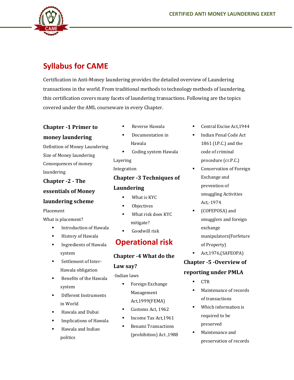

# **Syllabus for CAME**

Certification in Anti-Money laundering provides the detailed overview of Laundering transactions in the world. From traditional methods to technology methods of laundering, this certification covers many facets of laundering transactions. Following are the topics covered under the AML courseware in every Chapter.

## **Chapter -1 Primer to**

#### **money laundering**

Definition of Money Laundering Size of Money laundering Consequences of money laundering

**Chapter -2 - The** 

**essentials of Money** 

#### **laundering scheme**

Placement

What is placement?

- **■** Introduction of Hawala
- History of Hawala
- **■** Ingredients of Hawala system
- **·** Settlement of Inter-Hawala obligation
- Benefits of the Hawala system
- **Different Instruments** in World
- Hawala and Dubai
- **Implications of Hawala**
- Hawala and Indian politics
- Reverse Hawala
- Documentation in Hawala
- Coding system Hawala Layering

Integration

## **Chapter -3 Techniques of**

#### **Laundering**

- What is KYC
- Objectives
- What risk does KYC mitigate?
- Goodwill risk

## **Operational risk**

## **Chapter -4 What do the**

#### **Law say?**

#### -Indian laws

- Foreign Exchange Management Act,1999(FEMA)
- Customs Act, 1962
- Income Tax Act, 1961
- **Benami Transactions** (prohibition) Act ,1988
- Central Excise Act, 1944
- Indian Penal Code Act 1861 (I.P.C.) and the code of criminal procedure (cr.P.C.)
- Conservation of Foreign Exchange and prevention of smuggling Activities Act,-1974
- (COFEPOSA) and smugglers and foreign exchange manipulators(Forfeture of Property)
	- Act,1976,(SAFEOPA)

## **Chapter -5 -Overview of**

## **reporting under PMLA**

- **CTR**
- Maintenance of records of transactions
- Which information is required to be preserved
- Maintenance and preservation of records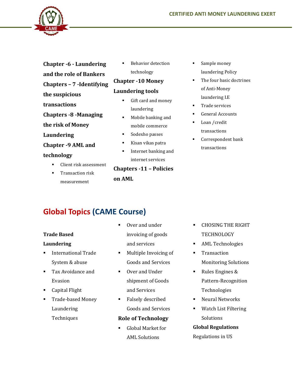

- **Chapter -6 - Laundering**
- **and the role of Bankers Chapters – 7 -Identifying**
- **the suspicious**
- **transactions**
- **Chapters -8 -Managing**
- **the risk of Money**
- **Laundering**
- **Chapter -9 AML and**

#### **technology**

- Client risk assessment
- Transaction risk measurement

**Behavior detection** technology

## **Chapter -10 Money**

#### **Laundering tools**

- Gift card and money laundering
- Mobile banking and mobile commerce
- Sodexho passes
- Kisan vikas patra
- Internet banking and internet services

**Chapters -11 – Policies on AML**

- Sample money laundering Policy
- The four basic doctrines of Anti-Money laundering I.E
- Trade services
- General Accounts
- Loan / credit transactions
- Correspondent bank transactions

# **Global Topics (CAME Course)**

#### **Trade Based**

#### **Laundering**

- International Trade System & abuse
- Tax Avoidance and Evasion
- **Example 1** Capital Flight
- Trade-based Money Laundering **Techniques**
- Over and under invoicing of goods and services
- Multiple Invoicing of Goods and Services
- Over and Under shipment of Goods and Services
- Falsely described Goods and Services

#### **Role of Technology**

Global Market for AML Solutions

- CHOSING THE RIGHT **TECHNOLOGY**
- AML Technologies
- Transaction Monitoring Solutions
- Rules Engines & Pattern-Recognition Technologies
- Neural Networks
- Watch List Filtering Solutions

#### **Global Regulations**

Regulations in US